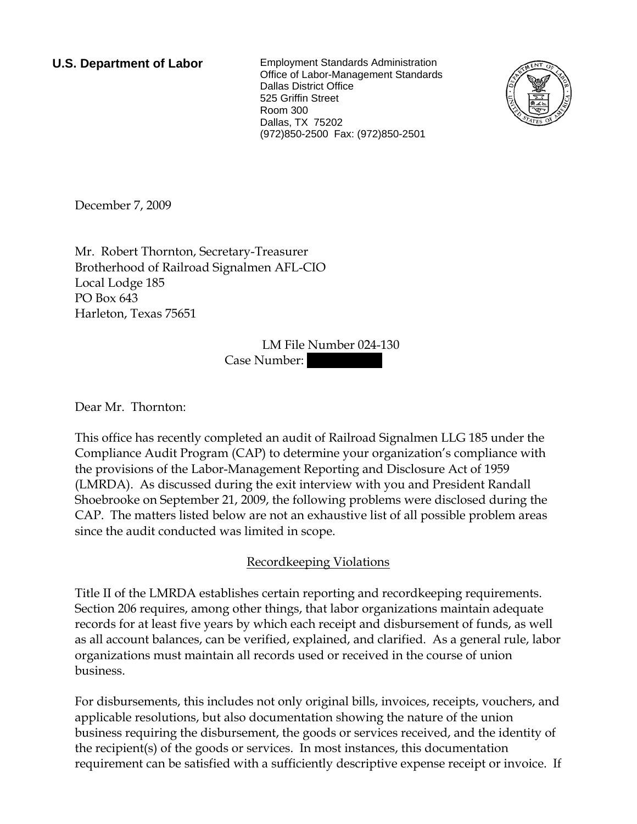**U.S. Department of Labor** Employment Standards Administration Office of Labor-Management Standards Dallas District Office 525 Griffin Street Room 300 Dallas, TX 75202 (972)850-2500 Fax: (972)850-2501



December 7, 2009

Mr. Robert Thornton, Secretary-Treasurer Brotherhood of Railroad Signalmen AFL-CIO Local Lodge 185 PO Box 643 Harleton, Texas 75651

> LM File Number 024-130 Case Number:

Dear Mr. Thornton:

This office has recently completed an audit of Railroad Signalmen LLG 185 under the Compliance Audit Program (CAP) to determine your organization's compliance with the provisions of the Labor-Management Reporting and Disclosure Act of 1959 (LMRDA). As discussed during the exit interview with you and President Randall Shoebrooke on September 21, 2009, the following problems were disclosed during the CAP. The matters listed below are not an exhaustive list of all possible problem areas since the audit conducted was limited in scope.

## Recordkeeping Violations

Title II of the LMRDA establishes certain reporting and recordkeeping requirements. Section 206 requires, among other things, that labor organizations maintain adequate records for at least five years by which each receipt and disbursement of funds, as well as all account balances, can be verified, explained, and clarified. As a general rule, labor organizations must maintain all records used or received in the course of union business.

For disbursements, this includes not only original bills, invoices, receipts, vouchers, and applicable resolutions, but also documentation showing the nature of the union business requiring the disbursement, the goods or services received, and the identity of the recipient(s) of the goods or services. In most instances, this documentation requirement can be satisfied with a sufficiently descriptive expense receipt or invoice. If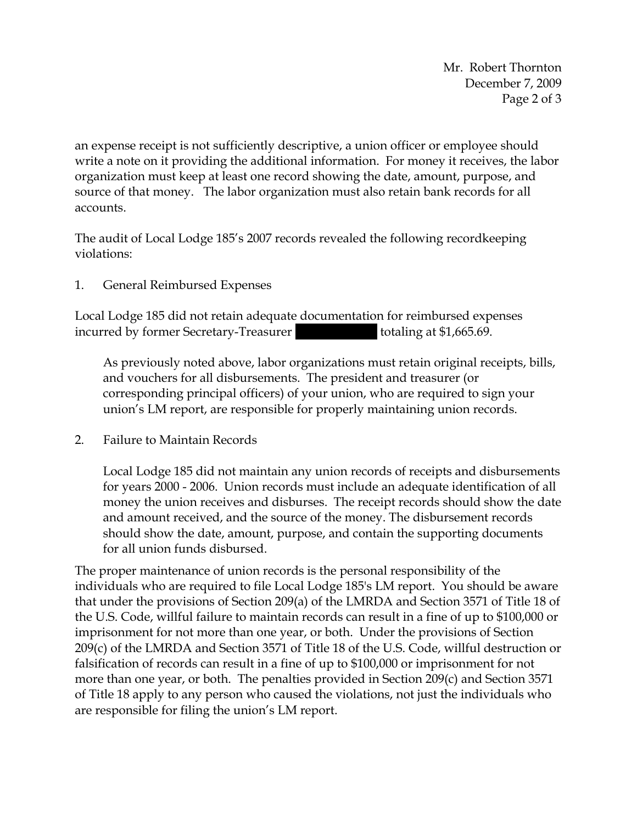Mr. Robert Thornton December 7, 2009 Page 2 of 3

an expense receipt is not sufficiently descriptive, a union officer or employee should write a note on it providing the additional information. For money it receives, the labor organization must keep at least one record showing the date, amount, purpose, and source of that money. The labor organization must also retain bank records for all accounts.

The audit of Local Lodge 185's 2007 records revealed the following recordkeeping violations:

1. General Reimbursed Expenses

Local Lodge 185 did not retain adequate documentation for reimbursed expenses incurred by former Secretary-Treasurer | || ||||||| totaling at \$1,665.69.

As previously noted above, labor organizations must retain original receipts, bills, and vouchers for all disbursements. The president and treasurer (or corresponding principal officers) of your union, who are required to sign your union's LM report, are responsible for properly maintaining union records.

2. Failure to Maintain Records

Local Lodge 185 did not maintain any union records of receipts and disbursements for years 2000 - 2006. Union records must include an adequate identification of all money the union receives and disburses. The receipt records should show the date and amount received, and the source of the money. The disbursement records should show the date, amount, purpose, and contain the supporting documents for all union funds disbursed.

The proper maintenance of union records is the personal responsibility of the individuals who are required to file Local Lodge 185's LM report. You should be aware that under the provisions of Section 209(a) of the LMRDA and Section 3571 of Title 18 of the U.S. Code, willful failure to maintain records can result in a fine of up to \$100,000 or imprisonment for not more than one year, or both. Under the provisions of Section 209(c) of the LMRDA and Section 3571 of Title 18 of the U.S. Code, willful destruction or falsification of records can result in a fine of up to \$100,000 or imprisonment for not more than one year, or both. The penalties provided in Section 209(c) and Section 3571 of Title 18 apply to any person who caused the violations, not just the individuals who are responsible for filing the union's LM report.